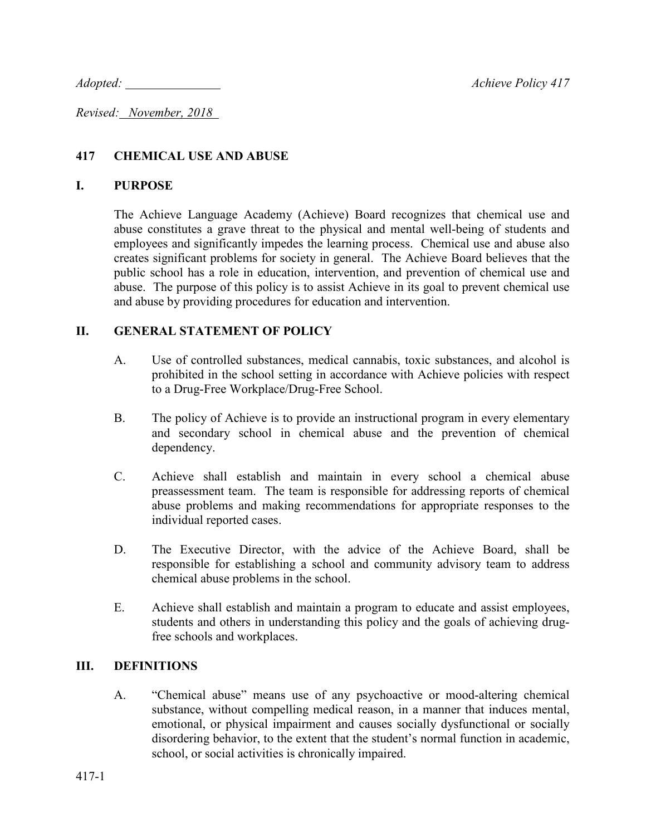*Adopted:* <u>Analyze Achieve Policy</u> 417

*Revised: November, 2018* 

# **417 CHEMICAL USE AND ABUSE**

### **I. PURPOSE**

The Achieve Language Academy (Achieve) Board recognizes that chemical use and abuse constitutes a grave threat to the physical and mental well-being of students and employees and significantly impedes the learning process. Chemical use and abuse also creates significant problems for society in general. The Achieve Board believes that the public school has a role in education, intervention, and prevention of chemical use and abuse. The purpose of this policy is to assist Achieve in its goal to prevent chemical use and abuse by providing procedures for education and intervention.

## **II. GENERAL STATEMENT OF POLICY**

- A. Use of controlled substances, medical cannabis, toxic substances, and alcohol is prohibited in the school setting in accordance with Achieve policies with respect to a Drug-Free Workplace/Drug-Free School.
- B. The policy of Achieve is to provide an instructional program in every elementary and secondary school in chemical abuse and the prevention of chemical dependency.
- C. Achieve shall establish and maintain in every school a chemical abuse preassessment team. The team is responsible for addressing reports of chemical abuse problems and making recommendations for appropriate responses to the individual reported cases.
- D. The Executive Director, with the advice of the Achieve Board, shall be responsible for establishing a school and community advisory team to address chemical abuse problems in the school.
- E. Achieve shall establish and maintain a program to educate and assist employees, students and others in understanding this policy and the goals of achieving drugfree schools and workplaces.

## **III. DEFINITIONS**

A. "Chemical abuse" means use of any psychoactive or mood-altering chemical substance, without compelling medical reason, in a manner that induces mental, emotional, or physical impairment and causes socially dysfunctional or socially disordering behavior, to the extent that the student's normal function in academic, school, or social activities is chronically impaired.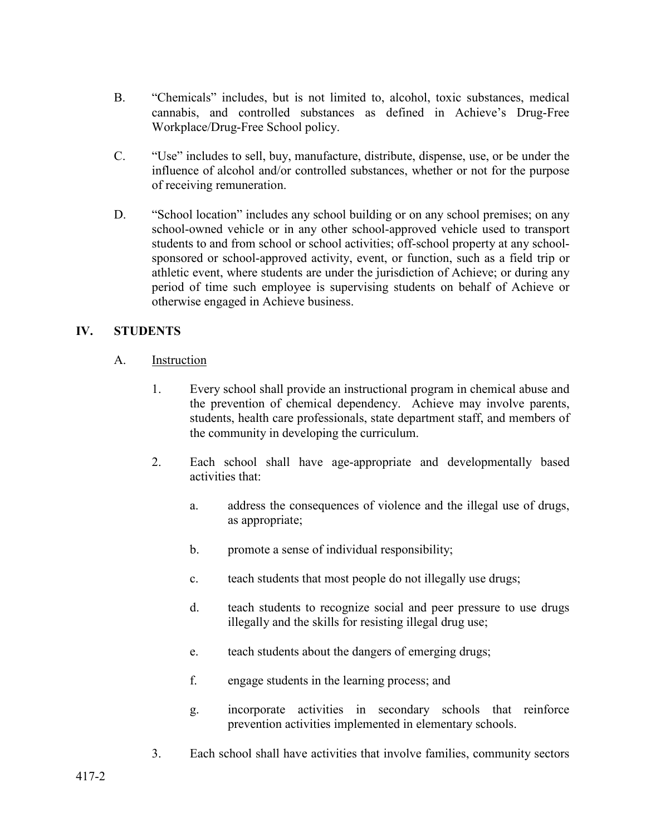- B. "Chemicals" includes, but is not limited to, alcohol, toxic substances, medical cannabis, and controlled substances as defined in Achieve's Drug-Free Workplace/Drug-Free School policy.
- C. "Use" includes to sell, buy, manufacture, distribute, dispense, use, or be under the influence of alcohol and/or controlled substances, whether or not for the purpose of receiving remuneration.
- D. "School location" includes any school building or on any school premises; on any school-owned vehicle or in any other school-approved vehicle used to transport students to and from school or school activities; off-school property at any schoolsponsored or school-approved activity, event, or function, such as a field trip or athletic event, where students are under the jurisdiction of Achieve; or during any period of time such employee is supervising students on behalf of Achieve or otherwise engaged in Achieve business.

## **IV. STUDENTS**

- A. Instruction
	- 1. Every school shall provide an instructional program in chemical abuse and the prevention of chemical dependency. Achieve may involve parents, students, health care professionals, state department staff, and members of the community in developing the curriculum.
	- 2. Each school shall have age-appropriate and developmentally based activities that:
		- a. address the consequences of violence and the illegal use of drugs, as appropriate;
		- b. promote a sense of individual responsibility;
		- c. teach students that most people do not illegally use drugs;
		- d. teach students to recognize social and peer pressure to use drugs illegally and the skills for resisting illegal drug use;
		- e. teach students about the dangers of emerging drugs;
		- f. engage students in the learning process; and
		- g. incorporate activities in secondary schools that reinforce prevention activities implemented in elementary schools.
	- 3. Each school shall have activities that involve families, community sectors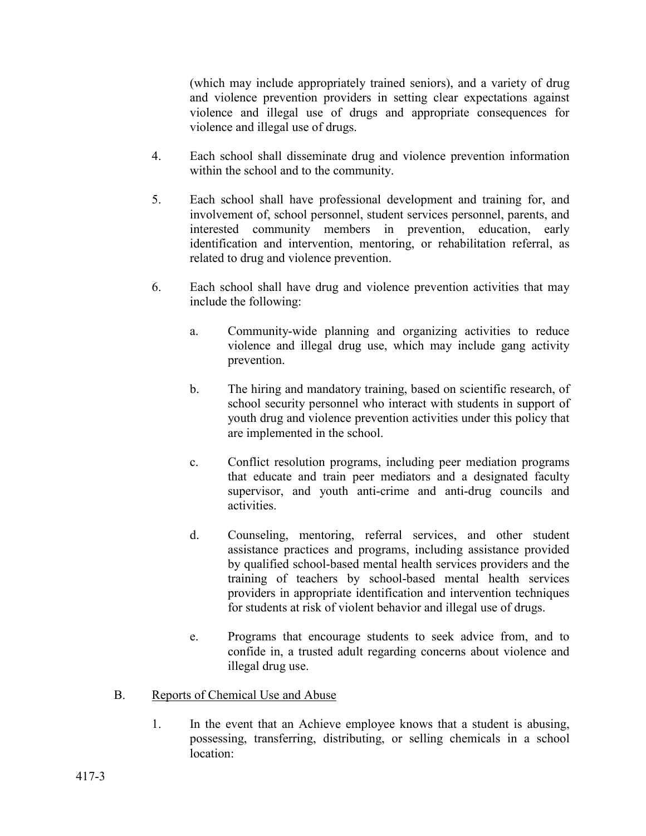(which may include appropriately trained seniors), and a variety of drug and violence prevention providers in setting clear expectations against violence and illegal use of drugs and appropriate consequences for violence and illegal use of drugs.

- 4. Each school shall disseminate drug and violence prevention information within the school and to the community.
- 5. Each school shall have professional development and training for, and involvement of, school personnel, student services personnel, parents, and interested community members in prevention, education, early identification and intervention, mentoring, or rehabilitation referral, as related to drug and violence prevention.
- 6. Each school shall have drug and violence prevention activities that may include the following:
	- a. Community-wide planning and organizing activities to reduce violence and illegal drug use, which may include gang activity prevention.
	- b. The hiring and mandatory training, based on scientific research, of school security personnel who interact with students in support of youth drug and violence prevention activities under this policy that are implemented in the school.
	- c. Conflict resolution programs, including peer mediation programs that educate and train peer mediators and a designated faculty supervisor, and youth anti-crime and anti-drug councils and activities.
	- d. Counseling, mentoring, referral services, and other student assistance practices and programs, including assistance provided by qualified school-based mental health services providers and the training of teachers by school-based mental health services providers in appropriate identification and intervention techniques for students at risk of violent behavior and illegal use of drugs.
	- e. Programs that encourage students to seek advice from, and to confide in, a trusted adult regarding concerns about violence and illegal drug use.
- B. Reports of Chemical Use and Abuse
	- 1. In the event that an Achieve employee knows that a student is abusing, possessing, transferring, distributing, or selling chemicals in a school location: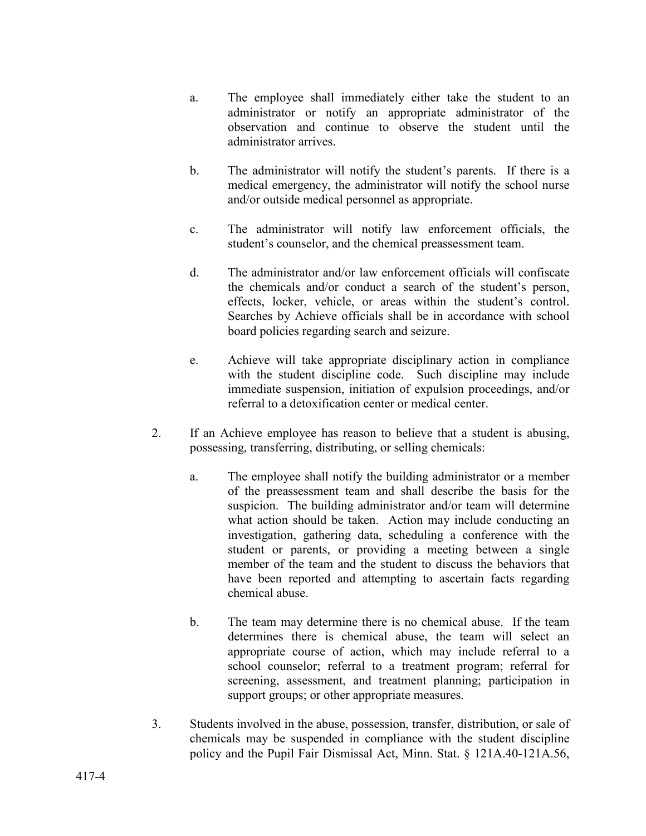- a. The employee shall immediately either take the student to an administrator or notify an appropriate administrator of the observation and continue to observe the student until the administrator arrives.
- b. The administrator will notify the student's parents. If there is a medical emergency, the administrator will notify the school nurse and/or outside medical personnel as appropriate.
- c. The administrator will notify law enforcement officials, the student's counselor, and the chemical preassessment team.
- d. The administrator and/or law enforcement officials will confiscate the chemicals and/or conduct a search of the student's person, effects, locker, vehicle, or areas within the student's control. Searches by Achieve officials shall be in accordance with school board policies regarding search and seizure.
- e. Achieve will take appropriate disciplinary action in compliance with the student discipline code. Such discipline may include immediate suspension, initiation of expulsion proceedings, and/or referral to a detoxification center or medical center.
- 2. If an Achieve employee has reason to believe that a student is abusing, possessing, transferring, distributing, or selling chemicals:
	- a. The employee shall notify the building administrator or a member of the preassessment team and shall describe the basis for the suspicion. The building administrator and/or team will determine what action should be taken. Action may include conducting an investigation, gathering data, scheduling a conference with the student or parents, or providing a meeting between a single member of the team and the student to discuss the behaviors that have been reported and attempting to ascertain facts regarding chemical abuse.
	- b. The team may determine there is no chemical abuse. If the team determines there is chemical abuse, the team will select an appropriate course of action, which may include referral to a school counselor; referral to a treatment program; referral for screening, assessment, and treatment planning; participation in support groups; or other appropriate measures.
- 3. Students involved in the abuse, possession, transfer, distribution, or sale of chemicals may be suspended in compliance with the student discipline policy and the Pupil Fair Dismissal Act, Minn. Stat. § 121A.40-121A.56,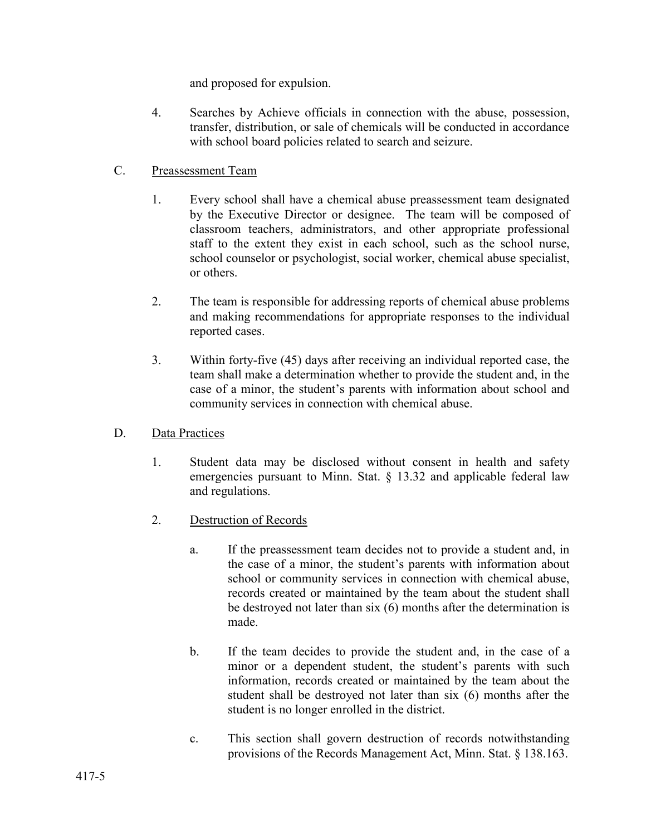and proposed for expulsion.

4. Searches by Achieve officials in connection with the abuse, possession, transfer, distribution, or sale of chemicals will be conducted in accordance with school board policies related to search and seizure.

### C. Preassessment Team

- 1. Every school shall have a chemical abuse preassessment team designated by the Executive Director or designee. The team will be composed of classroom teachers, administrators, and other appropriate professional staff to the extent they exist in each school, such as the school nurse, school counselor or psychologist, social worker, chemical abuse specialist, or others.
- 2. The team is responsible for addressing reports of chemical abuse problems and making recommendations for appropriate responses to the individual reported cases.
- 3. Within forty-five (45) days after receiving an individual reported case, the team shall make a determination whether to provide the student and, in the case of a minor, the student's parents with information about school and community services in connection with chemical abuse.

#### D. Data Practices

- 1. Student data may be disclosed without consent in health and safety emergencies pursuant to Minn. Stat. § 13.32 and applicable federal law and regulations.
- 2. Destruction of Records
	- a. If the preassessment team decides not to provide a student and, in the case of a minor, the student's parents with information about school or community services in connection with chemical abuse, records created or maintained by the team about the student shall be destroyed not later than six (6) months after the determination is made.
	- b. If the team decides to provide the student and, in the case of a minor or a dependent student, the student's parents with such information, records created or maintained by the team about the student shall be destroyed not later than six (6) months after the student is no longer enrolled in the district.
	- c. This section shall govern destruction of records notwithstanding provisions of the Records Management Act, Minn. Stat. § 138.163.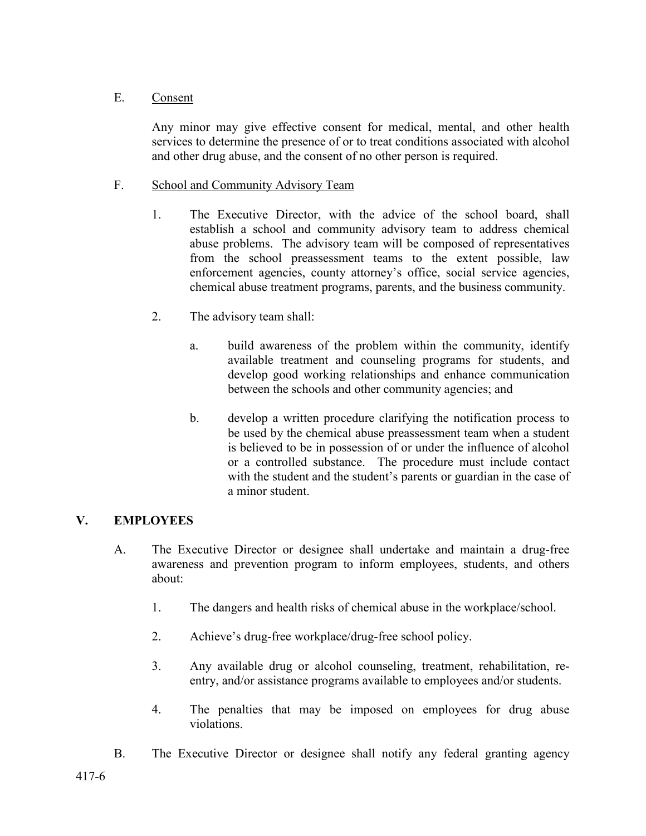### E. Consent

Any minor may give effective consent for medical, mental, and other health services to determine the presence of or to treat conditions associated with alcohol and other drug abuse, and the consent of no other person is required.

### F. School and Community Advisory Team

- 1. The Executive Director, with the advice of the school board, shall establish a school and community advisory team to address chemical abuse problems. The advisory team will be composed of representatives from the school preassessment teams to the extent possible, law enforcement agencies, county attorney's office, social service agencies, chemical abuse treatment programs, parents, and the business community.
- 2. The advisory team shall:
	- a. build awareness of the problem within the community, identify available treatment and counseling programs for students, and develop good working relationships and enhance communication between the schools and other community agencies; and
	- b. develop a written procedure clarifying the notification process to be used by the chemical abuse preassessment team when a student is believed to be in possession of or under the influence of alcohol or a controlled substance. The procedure must include contact with the student and the student's parents or guardian in the case of a minor student.

## **V. EMPLOYEES**

- A. The Executive Director or designee shall undertake and maintain a drug-free awareness and prevention program to inform employees, students, and others about:
	- 1. The dangers and health risks of chemical abuse in the workplace/school.
	- 2. Achieve's drug-free workplace/drug-free school policy.
	- 3. Any available drug or alcohol counseling, treatment, rehabilitation, reentry, and/or assistance programs available to employees and/or students.
	- 4. The penalties that may be imposed on employees for drug abuse violations.
- B. The Executive Director or designee shall notify any federal granting agency